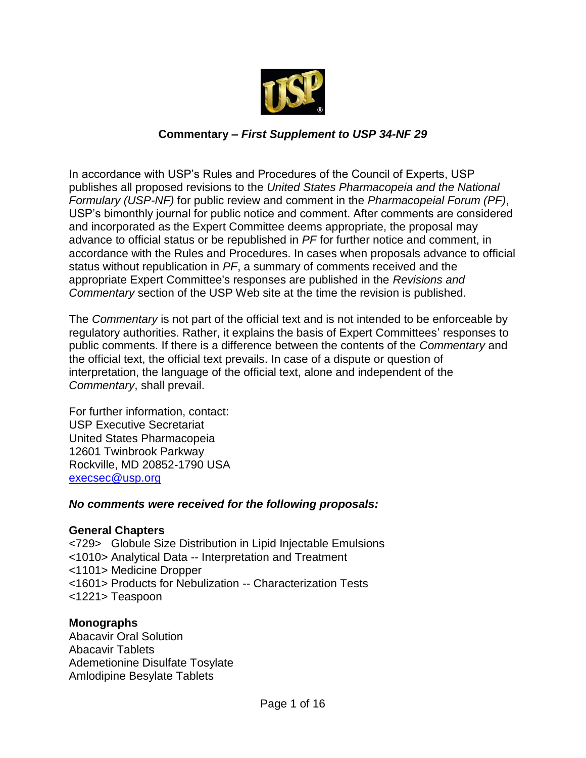

# **Commentary –** *First Supplement to USP 34-NF 29*

In accordance with USP's Rules and Procedures of the Council of Experts, USP publishes all proposed revisions to the *United States Pharmacopeia and the National Formulary (USP-NF)* for public review and comment in the *Pharmacopeial Forum (PF)*, USP's bimonthly journal for public notice and comment. After comments are considered and incorporated as the Expert Committee deems appropriate, the proposal may advance to official status or be republished in *PF* for further notice and comment, in accordance with the Rules and Procedures. In cases when proposals advance to official status without republication in *PF*, a summary of comments received and the appropriate Expert Committee's responses are published in the *Revisions and Commentary* section of the USP Web site at the time the revision is published.

The *Commentary* is not part of the official text and is not intended to be enforceable by regulatory authorities. Rather, it explains the basis of Expert Committees' responses to public comments. If there is a difference between the contents of the *Commentary* and the official text, the official text prevails. In case of a dispute or question of interpretation, the language of the official text, alone and independent of the *Commentary*, shall prevail.

For further information, contact: USP Executive Secretariat United States Pharmacopeia 12601 Twinbrook Parkway Rockville, MD 20852-1790 USA [execsec@usp.org](mailto:execsec@usp.org)

#### *No comments were received for the following proposals:*

# **General Chapters**

<729> Globule Size Distribution in Lipid Injectable Emulsions <1010> Analytical Data -- Interpretation and Treatment <1101> Medicine Dropper <1601> Products for Nebulization -- Characterization Tests <1221> Teaspoon

# **Monographs**

Abacavir Oral Solution Abacavir Tablets Ademetionine Disulfate Tosylate Amlodipine Besylate Tablets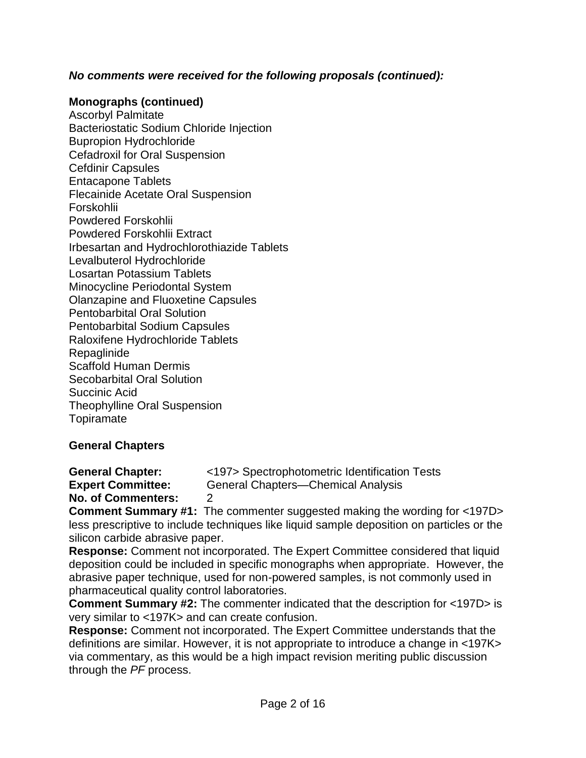# *No comments were received for the following proposals (continued):*

#### **Monographs (continued)**

Ascorbyl Palmitate Bacteriostatic Sodium Chloride Injection Bupropion Hydrochloride Cefadroxil for Oral Suspension Cefdinir Capsules Entacapone Tablets Flecainide Acetate Oral Suspension Forskohlii Powdered Forskohlii Powdered Forskohlii Extract Irbesartan and Hydrochlorothiazide Tablets Levalbuterol Hydrochloride Losartan Potassium Tablets Minocycline Periodontal System Olanzapine and Fluoxetine Capsules Pentobarbital Oral Solution Pentobarbital Sodium Capsules Raloxifene Hydrochloride Tablets Repaglinide Scaffold Human Dermis Secobarbital Oral Solution Succinic Acid Theophylline Oral Suspension **Topiramate** 

# **General Chapters**

**General Chapter:** <197> Spectrophotometric Identification Tests **Expert Committee:** General Chapters—Chemical Analysis

**No. of Commenters:** 2

**Comment Summary #1:** The commenter suggested making the wording for <197D> less prescriptive to include techniques like liquid sample deposition on particles or the silicon carbide abrasive paper.

**Response:** Comment not incorporated. The Expert Committee considered that liquid deposition could be included in specific monographs when appropriate. However, the abrasive paper technique, used for non-powered samples, is not commonly used in pharmaceutical quality control laboratories.

**Comment Summary #2:** The commenter indicated that the description for <197D> is very similar to <197K> and can create confusion.

**Response:** Comment not incorporated. The Expert Committee understands that the definitions are similar. However, it is not appropriate to introduce a change in <197K> via commentary, as this would be a high impact revision meriting public discussion through the *PF* process.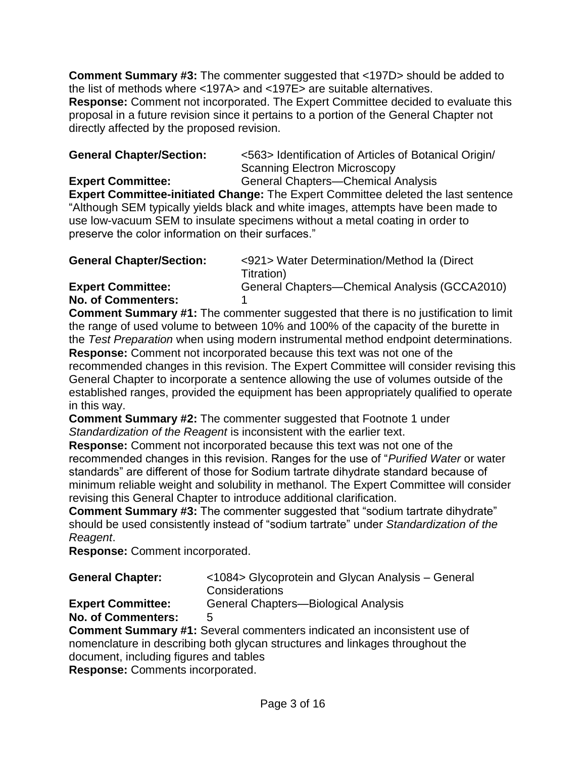**Comment Summary #3:** The commenter suggested that <197D> should be added to the list of methods where <197A> and <197E> are suitable alternatives. **Response:** Comment not incorporated. The Expert Committee decided to evaluate this proposal in a future revision since it pertains to a portion of the General Chapter not directly affected by the proposed revision.

| <b>General Chapter/Section:</b> | <563> Identification of Articles of Botanical Origin/ |
|---------------------------------|-------------------------------------------------------|
|                                 | <b>Scanning Electron Microscopy</b>                   |

**Expert Committee:** General Chapters—Chemical Analysis **Expert Committee-initiated Change:** The Expert Committee deleted the last sentence "Although SEM typically yields black and white images, attempts have been made to use low-vacuum SEM to insulate specimens without a metal coating in order to preserve the color information on their surfaces."

| <b>General Chapter/Section:</b> | <921> Water Determination/Method la (Direct   |
|---------------------------------|-----------------------------------------------|
|                                 | Titration)                                    |
| <b>Expert Committee:</b>        | General Chapters-Chemical Analysis (GCCA2010) |

# **No. of Commenters:** 1

**Comment Summary #1:** The commenter suggested that there is no justification to limit the range of used volume to between 10% and 100% of the capacity of the burette in the *Test Preparation* when using modern instrumental method endpoint determinations.

**Response:** Comment not incorporated because this text was not one of the recommended changes in this revision. The Expert Committee will consider revising this General Chapter to incorporate a sentence allowing the use of volumes outside of the established ranges, provided the equipment has been appropriately qualified to operate in this way.

**Comment Summary #2:** The commenter suggested that Footnote 1 under *Standardization of the Reagent* is inconsistent with the earlier text.

**Response:** Comment not incorporated because this text was not one of the recommended changes in this revision. Ranges for the use of "*Purified Water* or water standards" are different of those for Sodium tartrate dihydrate standard because of minimum reliable weight and solubility in methanol. The Expert Committee will consider revising this General Chapter to introduce additional clarification.

**Comment Summary #3:** The commenter suggested that "sodium tartrate dihydrate" should be used consistently instead of "sodium tartrate" under *Standardization of the Reagent*.

**Response:** Comment incorporated.

| <b>General Chapter:</b> | <1084> Glycoprotein and Glycan Analysis - General |
|-------------------------|---------------------------------------------------|
|                         | Considerations                                    |

| <b>Expert Committee:</b> | General Chapters-Biological Analysis |
|--------------------------|--------------------------------------|
|--------------------------|--------------------------------------|

# **No. of Commenters:** 5

**Comment Summary #1:** Several commenters indicated an inconsistent use of nomenclature in describing both glycan structures and linkages throughout the document, including figures and tables

**Response:** Comments incorporated.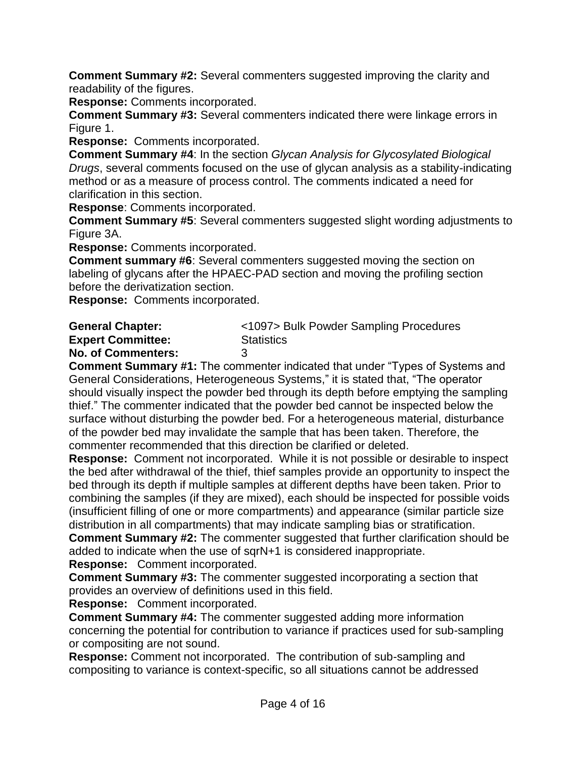**Comment Summary #2:** Several commenters suggested improving the clarity and readability of the figures.

**Response:** Comments incorporated.

**Comment Summary #3:** Several commenters indicated there were linkage errors in Figure 1.

**Response:** Comments incorporated.

**Comment Summary #4**: In the section *Glycan Analysis for Glycosylated Biological Drugs*, several comments focused on the use of glycan analysis as a stability-indicating method or as a measure of process control. The comments indicated a need for clarification in this section.

**Response**: Comments incorporated.

**Comment Summary #5**: Several commenters suggested slight wording adjustments to Figure 3A.

**Response:** Comments incorporated.

**Comment summary #6:** Several commenters suggested moving the section on labeling of glycans after the HPAEC-PAD section and moving the profiling section before the derivatization section.

**Response:** Comments incorporated.

| <1097> Bulk Powder Sampling Procedures |
|----------------------------------------|
| Statistics                             |
|                                        |
|                                        |

**Comment Summary #1:** The commenter indicated that under "Types of Systems and General Considerations, Heterogeneous Systems," it is stated that, "The operator should visually inspect the powder bed through its depth before emptying the sampling thief." The commenter indicated that the powder bed cannot be inspected below the surface without disturbing the powder bed. For a heterogeneous material, disturbance of the powder bed may invalidate the sample that has been taken. Therefore, the commenter recommended that this direction be clarified or deleted.

**Response:** Comment not incorporated. While it is not possible or desirable to inspect the bed after withdrawal of the thief, thief samples provide an opportunity to inspect the bed through its depth if multiple samples at different depths have been taken. Prior to combining the samples (if they are mixed), each should be inspected for possible voids (insufficient filling of one or more compartments) and appearance (similar particle size distribution in all compartments) that may indicate sampling bias or stratification.

**Comment Summary #2:** The commenter suggested that further clarification should be added to indicate when the use of sqrN+1 is considered inappropriate.

**Response:** Comment incorporated.

**Comment Summary #3:** The commenter suggested incorporating a section that provides an overview of definitions used in this field.

**Response:** Comment incorporated.

**Comment Summary #4:** The commenter suggested adding more information concerning the potential for contribution to variance if practices used for sub-sampling or compositing are not sound.

**Response:** Comment not incorporated. The contribution of sub-sampling and compositing to variance is context-specific, so all situations cannot be addressed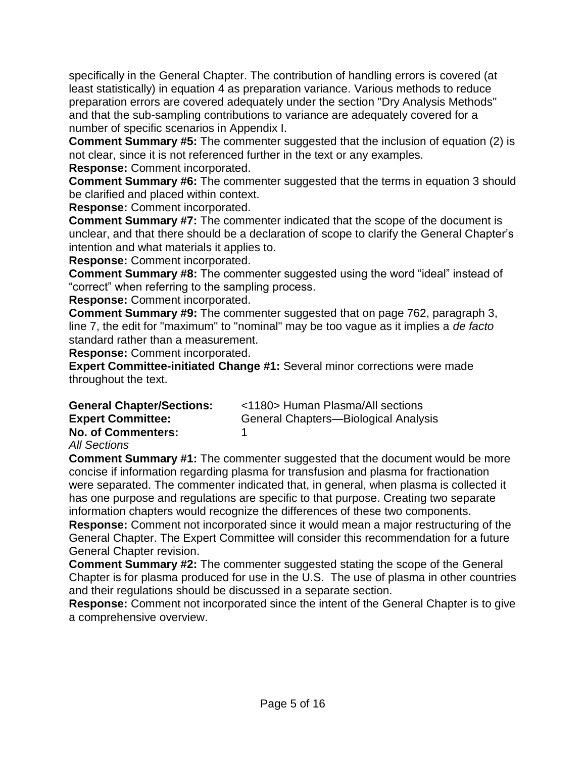specifically in the General Chapter. The contribution of handling errors is covered (at least statistically) in equation 4 as preparation variance. Various methods to reduce preparation errors are covered adequately under the section "Dry Analysis Methods" and that the sub-sampling contributions to variance are adequately covered for a number of specific scenarios in Appendix I.

**Comment Summary #5:** The commenter suggested that the inclusion of equation (2) is not clear, since it is not referenced further in the text or any examples. **Response:** Comment incorporated.

**Comment Summary #6:** The commenter suggested that the terms in equation 3 should be clarified and placed within context.

**Response:** Comment incorporated.

**Comment Summary #7:** The commenter indicated that the scope of the document is unclear, and that there should be a declaration of scope to clarify the General Chapter's intention and what materials it applies to.

**Response:** Comment incorporated.

**Comment Summary #8:** The commenter suggested using the word "ideal" instead of ―correct‖ when referring to the sampling process.

**Response:** Comment incorporated.

**Comment Summary #9:** The commenter suggested that on page 762, paragraph 3, line 7, the edit for "maximum" to "nominal" may be too vague as it implies a *de facto* standard rather than a measurement.

**Response:** Comment incorporated.

**Expert Committee-initiated Change #1:** Several minor corrections were made throughout the text.

| <b>General Chapter/Sections:</b> | <1180> Human Plasma/All sections     |
|----------------------------------|--------------------------------------|
| <b>Expert Committee:</b>         | General Chapters-Biological Analysis |
| <b>No. of Commenters:</b>        |                                      |

*All Sections*

**Comment Summary #1:** The commenter suggested that the document would be more concise if information regarding plasma for transfusion and plasma for fractionation were separated. The commenter indicated that, in general, when plasma is collected it has one purpose and regulations are specific to that purpose. Creating two separate information chapters would recognize the differences of these two components.

**Response:** Comment not incorporated since it would mean a major restructuring of the General Chapter. The Expert Committee will consider this recommendation for a future General Chapter revision.

**Comment Summary #2:** The commenter suggested stating the scope of the General Chapter is for plasma produced for use in the U.S. The use of plasma in other countries and their regulations should be discussed in a separate section.

**Response:** Comment not incorporated since the intent of the General Chapter is to give a comprehensive overview.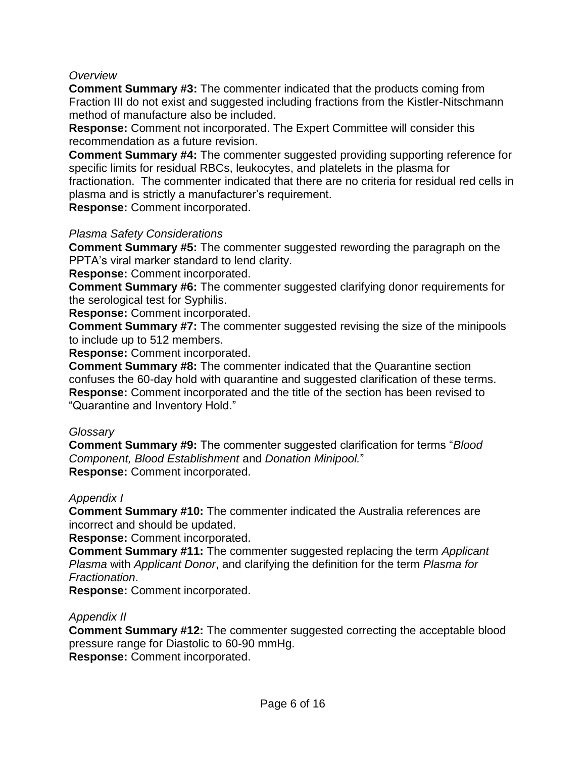#### *Overview*

**Comment Summary #3:** The commenter indicated that the products coming from Fraction III do not exist and suggested including fractions from the Kistler-Nitschmann method of manufacture also be included.

**Response:** Comment not incorporated. The Expert Committee will consider this recommendation as a future revision.

**Comment Summary #4:** The commenter suggested providing supporting reference for specific limits for residual RBCs, leukocytes, and platelets in the plasma for fractionation. The commenter indicated that there are no criteria for residual red cells in

plasma and is strictly a manufacturer's requirement.

**Response:** Comment incorporated.

# *Plasma Safety Considerations*

**Comment Summary #5:** The commenter suggested rewording the paragraph on the PPTA's viral marker standard to lend clarity.

**Response:** Comment incorporated.

**Comment Summary #6:** The commenter suggested clarifying donor requirements for the serological test for Syphilis.

**Response:** Comment incorporated.

**Comment Summary #7:** The commenter suggested revising the size of the minipools to include up to 512 members.

**Response:** Comment incorporated.

**Comment Summary #8:** The commenter indicated that the Quarantine section confuses the 60-day hold with quarantine and suggested clarification of these terms. **Response:** Comment incorporated and the title of the section has been revised to "Quarantine and Inventory Hold."

#### *Glossary*

**Comment Summary #9:** The commenter suggested clarification for terms ―*Blood Component, Blood Establishment* and *Donation Minipool.*‖ **Response:** Comment incorporated.

#### *Appendix I*

**Comment Summary #10:** The commenter indicated the Australia references are incorrect and should be updated.

**Response:** Comment incorporated.

**Comment Summary #11:** The commenter suggested replacing the term *Applicant Plasma* with *Applicant Donor*, and clarifying the definition for the term *Plasma for Fractionation*.

**Response:** Comment incorporated.

# *Appendix II*

**Comment Summary #12:** The commenter suggested correcting the acceptable blood pressure range for Diastolic to 60-90 mmHg. **Response:** Comment incorporated.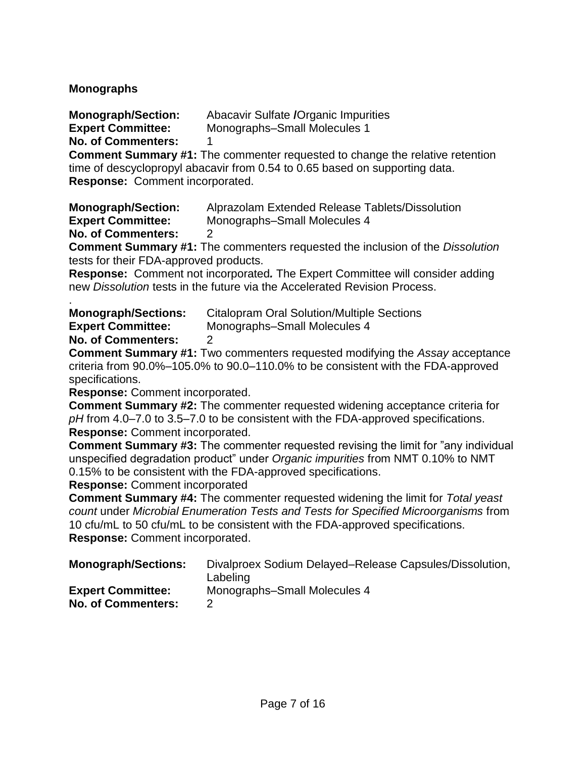# **Monographs**

**Monograph/Section:** Abacavir Sulfate **/**Organic Impurities

**Expert Committee:** Monographs–Small Molecules 1

**No. of Commenters:** 1

**Comment Summary #1:** The commenter requested to change the relative retention time of descyclopropyl abacavir from 0.54 to 0.65 based on supporting data. **Response:** Comment incorporated.

**Monograph/Section:** Alprazolam Extended Release Tablets/Dissolution **Expert Committee:** Monographs–Small Molecules 4

**No. of Commenters:** 2

**Comment Summary #1:** The commenters requested the inclusion of the *Dissolution* tests for their FDA-approved products.

**Response:**Comment not incorporated*.* The Expert Committee will consider adding new *Dissolution* tests in the future via the Accelerated Revision Process.

| <b>Monograph/Sections:</b> | <b>Citalopram Oral Solution/Multiple Sections</b> |
|----------------------------|---------------------------------------------------|
| <b>Expert Committee:</b>   | Monographs-Small Molecules 4                      |

**No. of Commenters:** 2

**Comment Summary #1:** Two commenters requested modifying the *Assay* acceptance criteria from 90.0%–105.0% to 90.0–110.0% to be consistent with the FDA-approved specifications.

**Response:** Comment incorporated.

**Comment Summary #2:** The commenter requested widening acceptance criteria for *pH* from 4.0–7.0 to 3.5–7.0 to be consistent with the FDA-approved specifications. **Response:** Comment incorporated.

**Comment Summary #3:** The commenter requested revising the limit for "any individual" unspecified degradation product‖ under *Organic impurities* from NMT 0.10% to NMT 0.15% to be consistent with the FDA-approved specifications.

**Response:** Comment incorporated

**Comment Summary #4:** The commenter requested widening the limit for *Total yeast count* under *Microbial Enumeration Tests and Tests for Specified Microorganisms* from 10 cfu/mL to 50 cfu/mL to be consistent with the FDA-approved specifications. **Response:** Comment incorporated.

| <b>Monograph/Sections:</b> | Divalproex Sodium Delayed–Release Capsules/Dissolution, |
|----------------------------|---------------------------------------------------------|
|                            | Labeling                                                |
| <b>Expert Committee:</b>   | Monographs-Small Molecules 4                            |
| <b>No. of Commenters:</b>  |                                                         |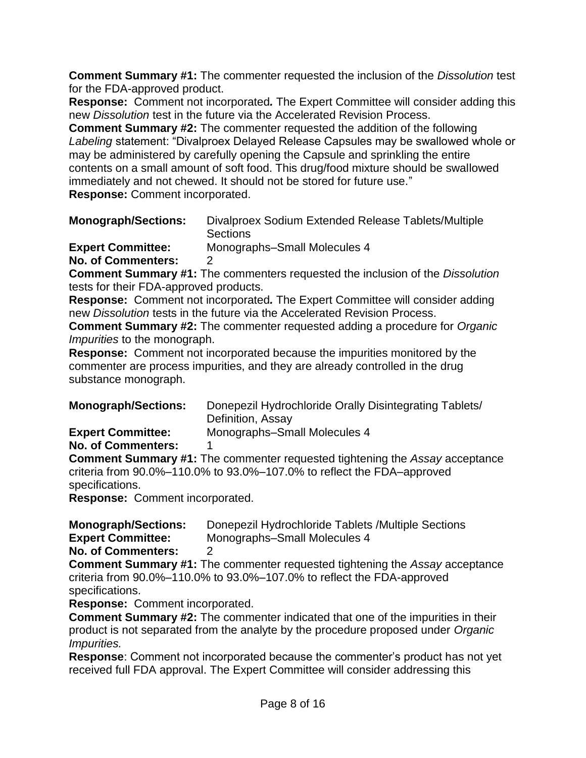**Comment Summary #1:** The commenter requested the inclusion of the *Dissolution* test for the FDA-approved product.

**Response:**Comment not incorporated*.* The Expert Committee will consider adding this new *Dissolution* test in the future via the Accelerated Revision Process.

**Comment Summary #2:** The commenter requested the addition of the following Labeling statement: "Divalproex Delayed Release Capsules may be swallowed whole or may be administered by carefully opening the Capsule and sprinkling the entire contents on a small amount of soft food. This drug/food mixture should be swallowed immediately and not chewed. It should not be stored for future use." **Response:** Comment incorporated.

**Monograph/Sections:** Divalproex Sodium Extended Release Tablets/Multiple **Sections Expert Committee:** Monographs–Small Molecules 4 **No. of Commenters:** 2

**Comment Summary #1:** The commenters requested the inclusion of the *Dissolution* tests for their FDA-approved products.

**Response:**Comment not incorporated*.* The Expert Committee will consider adding new *Dissolution* tests in the future via the Accelerated Revision Process.

**Comment Summary #2:** The commenter requested adding a procedure for *Organic Impurities* to the monograph.

**Response:**Comment not incorporated because the impurities monitored by the commenter are process impurities, and they are already controlled in the drug substance monograph.

| <b>Monograph/Sections:</b> | Donepezil Hydrochloride Orally Disintegrating Tablets/ |
|----------------------------|--------------------------------------------------------|
|                            | Definition, Assay                                      |
|                            |                                                        |

**Expert Committee:** Monographs–Small Molecules 4

**No. of Commenters:** 1

**Comment Summary #1:** The commenter requested tightening the *Assay* acceptance criteria from 90.0%–110.0% to 93.0%–107.0% to reflect the FDA–approved specifications.

**Response:**Comment incorporated.

**Monograph/Sections:** Donepezil Hydrochloride Tablets /Multiple Sections **Expert Committee:** Monographs–Small Molecules 4

**No. of Commenters:** 2

**Comment Summary #1:** The commenter requested tightening the *Assay* acceptance criteria from 90.0%–110.0% to 93.0%–107.0% to reflect the FDA-approved specifications.

**Response:**Comment incorporated.

**Comment Summary #2:** The commenter indicated that one of the impurities in their product is not separated from the analyte by the procedure proposed under *Organic Impurities.* 

**Response**: Comment not incorporated because the commenter's product has not yet received full FDA approval. The Expert Committee will consider addressing this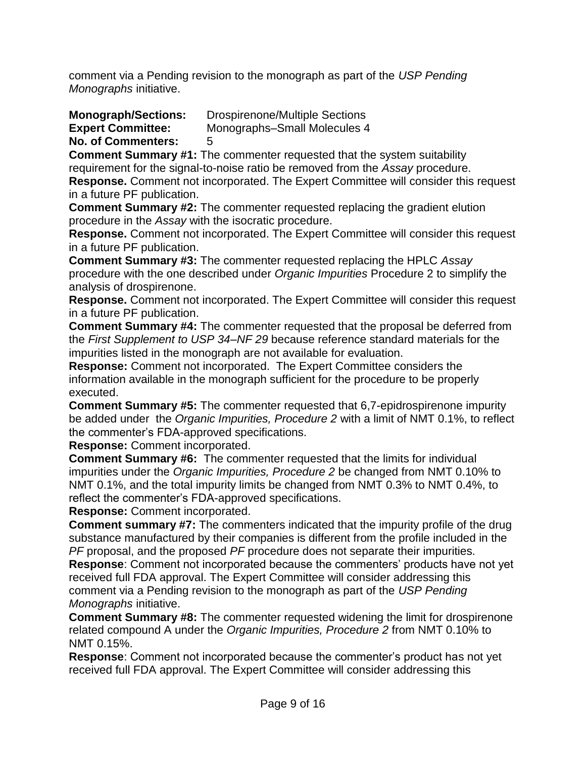comment via a Pending revision to the monograph as part of the *USP Pending Monographs* initiative.

**Monograph/Sections:** Drospirenone/Multiple Sections

**Expert Committee:** Monographs–Small Molecules 4

**No. of Commenters:** 5

**Comment Summary #1:** The commenter requested that the system suitability requirement for the signal-to-noise ratio be removed from the *Assay* procedure. **Response.** Comment not incorporated. The Expert Committee will consider this request

in a future PF publication.

**Comment Summary #2:** The commenter requested replacing the gradient elution procedure in the *Assay* with the isocratic procedure.

**Response.** Comment not incorporated. The Expert Committee will consider this request in a future PF publication.

**Comment Summary #3:** The commenter requested replacing the HPLC *Assay*  procedure with the one described under *Organic Impurities* Procedure 2 to simplify the analysis of drospirenone.

**Response.** Comment not incorporated. The Expert Committee will consider this request in a future PF publication.

**Comment Summary #4:** The commenter requested that the proposal be deferred from the *First Supplement to USP 34–NF 29* because reference standard materials for the impurities listed in the monograph are not available for evaluation.

**Response:** Comment not incorporated. The Expert Committee considers the information available in the monograph sufficient for the procedure to be properly executed.

**Comment Summary #5:** The commenter requested that 6,7-epidrospirenone impurity be added under the *Organic Impurities, Procedure 2* with a limit of NMT 0.1%, to reflect the commenter's FDA-approved specifications.

**Response:** Comment incorporated.

**Comment Summary #6:** The commenter requested that the limits for individual impurities under the *Organic Impurities, Procedure 2* be changed from NMT 0.10% to NMT 0.1%, and the total impurity limits be changed from NMT 0.3% to NMT 0.4%, to reflect the commenter's FDA-approved specifications.

**Response:** Comment incorporated.

**Comment summary #7:** The commenters indicated that the impurity profile of the drug substance manufactured by their companies is different from the profile included in the *PF* proposal, and the proposed *PF* procedure does not separate their impurities.

**Response**: Comment not incorporated because the commenters' products have not yet received full FDA approval. The Expert Committee will consider addressing this comment via a Pending revision to the monograph as part of the *USP Pending Monographs* initiative.

**Comment Summary #8:** The commenter requested widening the limit for drospirenone related compound A under the *Organic Impurities, Procedure 2* from NMT 0.10% to NMT 0.15%.

**Response**: Comment not incorporated because the commenter's product has not yet received full FDA approval. The Expert Committee will consider addressing this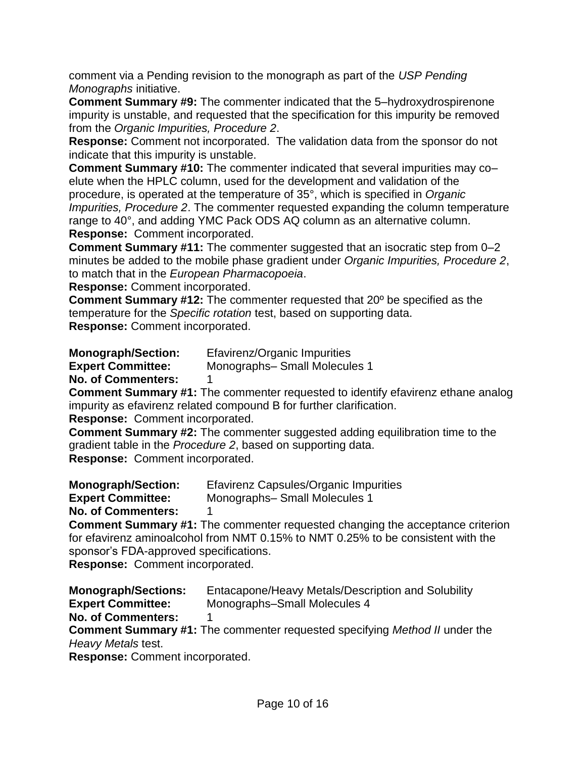comment via a Pending revision to the monograph as part of the *USP Pending Monographs* initiative.

**Comment Summary #9:** The commenter indicated that the 5–hydroxydrospirenone impurity is unstable, and requested that the specification for this impurity be removed from the *Organic Impurities, Procedure 2*.

**Response:** Comment not incorporated. The validation data from the sponsor do not indicate that this impurity is unstable.

**Comment Summary #10:** The commenter indicated that several impurities may co– elute when the HPLC column, used for the development and validation of the procedure, is operated at the temperature of 35°, which is specified in *Organic Impurities, Procedure 2*. The commenter requested expanding the column temperature range to 40°, and adding YMC Pack ODS AQ column as an alternative column. **Response:** Comment incorporated.

**Comment Summary #11:** The commenter suggested that an isocratic step from 0–2 minutes be added to the mobile phase gradient under *Organic Impurities, Procedure 2*, to match that in the *European Pharmacopoeia*.

**Response:** Comment incorporated.

**Comment Summary #12:** The commenter requested that 20º be specified as the temperature for the *Specific rotation* test, based on supporting data. **Response:** Comment incorporated.

**Monograph/Section:** Efavirenz/Organic Impurities

**Expert Committee:** Monographs– Small Molecules 1

**No. of Commenters:** 1

**Comment Summary #1:** The commenter requested to identify efavirenz ethane analog impurity as efavirenz related compound B for further clarification.

**Response:** Comment incorporated.

**Comment Summary #2:** The commenter suggested adding equilibration time to the gradient table in the *Procedure 2*, based on supporting data. **Response:** Comment incorporated.

**Monograph/Section:** Efavirenz Capsules/Organic Impurities

**Expert Committee:** Monographs– Small Molecules 1

**No. of Commenters:** 1

**Comment Summary #1:** The commenter requested changing the acceptance criterion for efavirenz aminoalcohol from NMT 0.15% to NMT 0.25% to be consistent with the sponsor's FDA-approved specifications.

**Response:** Comment incorporated.

**Monograph/Sections:** Entacapone/Heavy Metals/Description and Solubility **Expert Committee:** Monographs–Small Molecules 4 **No. of Commenters:** 1 **Comment Summary #1:** The commenter requested specifying *Method II* under the *Heavy Metals* test. **Response:** Comment incorporated.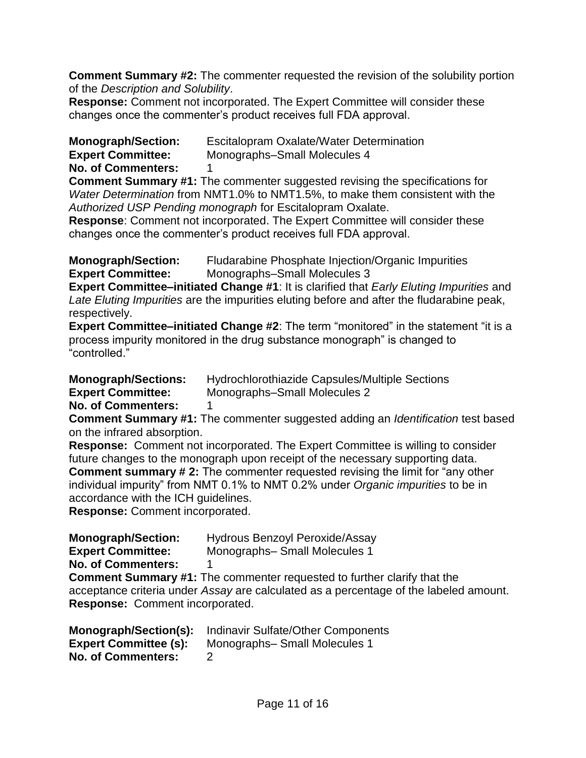**Comment Summary #2:** The commenter requested the revision of the solubility portion of the *Description and Solubility*.

**Response:** Comment not incorporated. The Expert Committee will consider these changes once the commenter's product receives full FDA approval.

**Monograph/Section:** Escitalopram Oxalate/Water Determination

**Expert Committee:** Monographs–Small Molecules 4

**No. of Commenters:** 1

**Comment Summary #1:** The commenter suggested revising the specifications for *Water Determination* from NMT1.0% to NMT1.5%, to make them consistent with the *Authorized USP Pending monograph* for Escitalopram Oxalate.

**Response**: Comment not incorporated. The Expert Committee will consider these changes once the commenter's product receives full FDA approval.

**Monograph/Section:** Fludarabine Phosphate Injection/Organic Impurities **Expert Committee:** Monographs–Small Molecules 3

**Expert Committee–initiated Change #1**: It is clarified that *Early Eluting Impurities* and *Late Eluting Impurities* are the impurities eluting before and after the fludarabine peak, respectively.

**Expert Committee–initiated Change #2**: The term "monitored" in the statement "it is a process impurity monitored in the drug substance monograph" is changed to ―controlled.‖

**Monograph/Sections:** Hydrochlorothiazide Capsules/Multiple Sections **Expert Committee:** Monographs–Small Molecules 2

**No. of Commenters:** 1

**Comment Summary #1:** The commenter suggested adding an *Identification* test based on the infrared absorption.

**Response:** Comment not incorporated. The Expert Committee is willing to consider future changes to the monograph upon receipt of the necessary supporting data. **Comment summary #2:** The commenter requested revising the limit for "any other" individual impurity" from NMT 0.1% to NMT 0.2% under *Organic impurities* to be in accordance with the ICH guidelines.

**Response:** Comment incorporated.

**Monograph/Section:** Hydrous Benzoyl Peroxide/Assay **Expert Committee:** Monographs– Small Molecules 1 **No. of Commenters:** 1 **Comment Summary #1:** The commenter requested to further clarify that the

acceptance criteria under *Assay* are calculated as a percentage of the labeled amount. **Response:** Comment incorporated.

| Monograph/Section(s):        | Indinavir Sulfate/Other Components |
|------------------------------|------------------------------------|
| <b>Expert Committee (s):</b> | Monographs-Small Molecules 1       |
| <b>No. of Commenters:</b>    |                                    |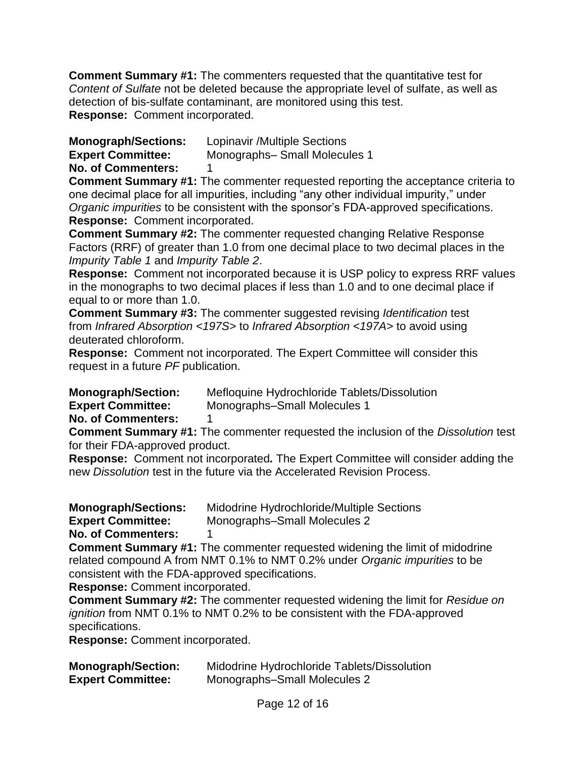**Comment Summary #1:** The commenters requested that the quantitative test for *Content of Sulfate* not be deleted because the appropriate level of sulfate, as well as detection of bis-sulfate contaminant, are monitored using this test. **Response:** Comment incorporated.

**Monograph/Sections:** Lopinavir /Multiple Sections

**Expert Committee:** Monographs– Small Molecules 1

**No. of Commenters:** 1

**Comment Summary #1:** The commenter requested reporting the acceptance criteria to one decimal place for all impurities, including "any other individual impurity," under *Organic impurities* to be consistent with the sponsor's FDA-approved specifications. **Response:** Comment incorporated.

**Comment Summary #2:** The commenter requested changing Relative Response Factors (RRF) of greater than 1.0 from one decimal place to two decimal places in the *Impurity Table 1* and *Impurity Table 2*.

**Response:** Comment not incorporated because it is USP policy to express RRF values in the monographs to two decimal places if less than 1.0 and to one decimal place if equal to or more than 1.0.

**Comment Summary #3:** The commenter suggested revising *Identification* test from *Infrared Absorption <197S>* to *Infrared Absorption <197A>* to avoid using deuterated chloroform.

**Response:** Comment not incorporated. The Expert Committee will consider this request in a future *PF* publication.

**Monograph/Section:** Mefloquine Hydrochloride Tablets/Dissolution

**Expert Committee:** Monographs–Small Molecules 1

**No. of Commenters:** 1

**Comment Summary #1:** The commenter requested the inclusion of the *Dissolution* test for their FDA-approved product.

**Response:**Comment not incorporated*.* The Expert Committee will consider adding the new *Dissolution* test in the future via the Accelerated Revision Process.

**Monograph/Sections:** Midodrine Hydrochloride/Multiple Sections

**Expert Committee:** Monographs–Small Molecules 2

**No. of Commenters:** 1

**Comment Summary #1:** The commenter requested widening the limit of midodrine related compound A from NMT 0.1% to NMT 0.2% under *Organic impurities* to be consistent with the FDA-approved specifications.

**Response:** Comment incorporated.

**Comment Summary #2:** The commenter requested widening the limit for *Residue on ignition* from NMT 0.1% to NMT 0.2% to be consistent with the FDA-approved specifications.

**Response:** Comment incorporated.

| <b>Monograph/Section:</b> | Midodrine Hydrochloride Tablets/Dissolution |
|---------------------------|---------------------------------------------|
| <b>Expert Committee:</b>  | Monographs-Small Molecules 2                |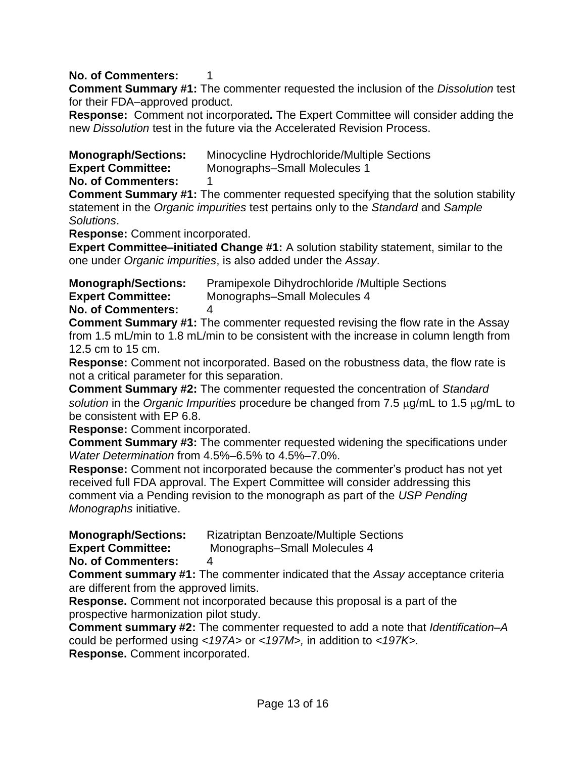# **No. of Commenters:** 1

**Comment Summary #1:** The commenter requested the inclusion of the *Dissolution* test for their FDA–approved product.

**Response:**Comment not incorporated*.* The Expert Committee will consider adding the new *Dissolution* test in the future via the Accelerated Revision Process.

**Monograph/Sections:** Minocycline Hydrochloride/Multiple Sections

**Expert Committee:** Monographs–Small Molecules 1

**No. of Commenters:** 1

**Comment Summary #1:** The commenter requested specifying that the solution stability statement in the *Organic impurities* test pertains only to the *Standard* and *Sample Solutions*.

**Response:** Comment incorporated.

**Expert Committee–initiated Change #1:** A solution stability statement, similar to the one under *Organic impurities*, is also added under the *Assay*.

**Monograph/Sections:** Pramipexole Dihydrochloride /Multiple Sections

**Expert Committee:** Monographs–Small Molecules 4

**No. of Commenters:** 4

**Comment Summary #1:** The commenter requested revising the flow rate in the Assay from 1.5 mL/min to 1.8 mL/min to be consistent with the increase in column length from 12.5 cm to 15 cm.

**Response:** Comment not incorporated. Based on the robustness data, the flow rate is not a critical parameter for this separation.

**Comment Summary #2:** The commenter requested the concentration of *Standard solution* in the *Organic Impurities* procedure be changed from 7.5  $\mu$ g/mL to 1.5  $\mu$ g/mL to be consistent with EP 6.8.

**Response:** Comment incorporated.

**Comment Summary #3:** The commenter requested widening the specifications under *Water Determination* from 4.5%–6.5% to 4.5%–7.0%.

**Response:** Comment not incorporated because the commenter's product has not yet received full FDA approval. The Expert Committee will consider addressing this comment via a Pending revision to the monograph as part of the *USP Pending Monographs* initiative.

**Monograph/Sections:** Rizatriptan Benzoate/Multiple Sections

**Expert Committee:** Monographs–Small Molecules 4

**No. of Commenters:** 4

**Comment summary #1:** The commenter indicated that the *Assay* acceptance criteria are different from the approved limits.

**Response.** Comment not incorporated because this proposal is a part of the prospective harmonization pilot study.

**Comment summary #2:** The commenter requested to add a note that *Identification–A* could be performed using *<197A>* or *<197M>,* in addition to *<197K>.*

**Response.** Comment incorporated.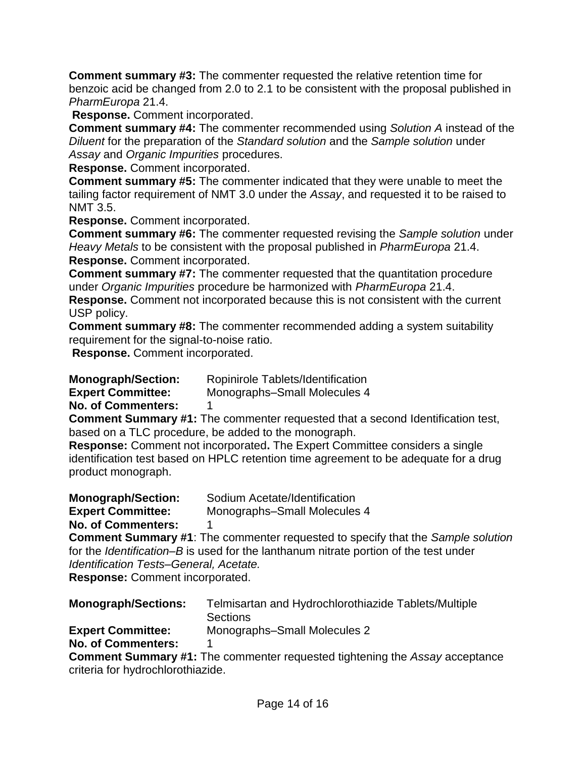**Comment summary #3:** The commenter requested the relative retention time for benzoic acid be changed from 2.0 to 2.1 to be consistent with the proposal published in *PharmEuropa* 21.4.

**Response.** Comment incorporated.

**Comment summary #4:** The commenter recommended using *Solution A* instead of the *Diluent* for the preparation of the *Standard solution* and the *Sample solution* under *Assay* and *Organic Impurities* procedures.

**Response.** Comment incorporated.

**Comment summary #5:** The commenter indicated that they were unable to meet the tailing factor requirement of NMT 3.0 under the *Assay*, and requested it to be raised to NMT 3.5.

**Response.** Comment incorporated.

**Comment summary #6:** The commenter requested revising the *Sample solution* under *Heavy Metals* to be consistent with the proposal published in *PharmEuropa* 21.4. **Response.** Comment incorporated.

**Comment summary #7:** The commenter requested that the quantitation procedure under *Organic Impurities* procedure be harmonized with *PharmEuropa* 21.4.

**Response.** Comment not incorporated because this is not consistent with the current USP policy.

**Comment summary #8:** The commenter recommended adding a system suitability requirement for the signal-to-noise ratio.

**Response.** Comment incorporated.

**Monograph/Section:** Ropinirole Tablets/Identification

**Expert Committee:** Monographs–Small Molecules 4

**No. of Commenters:** 1

**Comment Summary #1:** The commenter requested that a second Identification test, based on a TLC procedure, be added to the monograph.

**Response:** Comment not incorporated**.** The Expert Committee considers a single identification test based on HPLC retention time agreement to be adequate for a drug product monograph.

**Monograph/Section:** Sodium Acetate/Identification **Expert Committee:** Monographs–Small Molecules 4 **No. of Commenters:** 1

**Comment Summary #1**: The commenter requested to specify that the *Sample solution* for the *Identification–B* is used for the lanthanum nitrate portion of the test under *Identification Tests–General, Acetate.*

**Response:** Comment incorporated.

| Telmisartan and Hydrochlorothiazide Tablets/Multiple<br><b>Sections</b> |
|-------------------------------------------------------------------------|
| Monographs-Small Molecules 2                                            |
|                                                                         |
|                                                                         |

**Comment Summary #1:** The commenter requested tightening the *Assay* acceptance criteria for hydrochlorothiazide.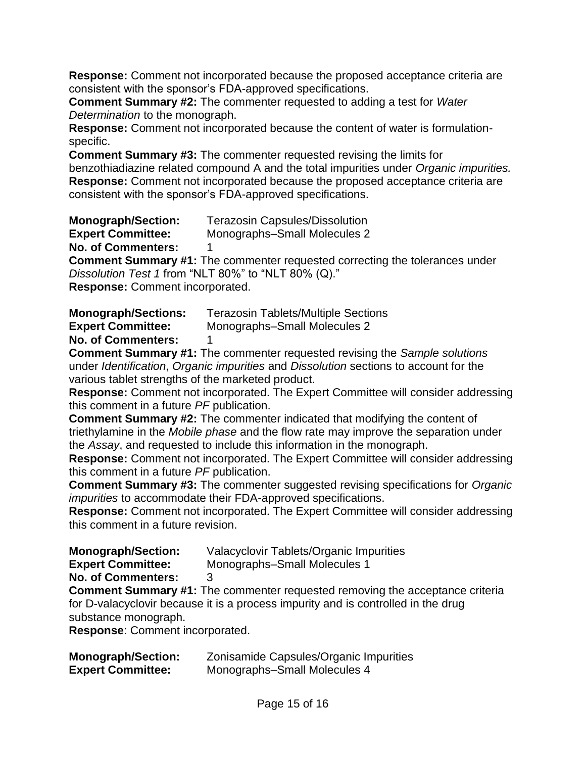**Response:** Comment not incorporated because the proposed acceptance criteria are consistent with the sponsor's FDA-approved specifications.

**Comment Summary #2:** The commenter requested to adding a test for *Water Determination* to the monograph.

**Response:** Comment not incorporated because the content of water is formulationspecific.

**Comment Summary #3:** The commenter requested revising the limits for benzothiadiazine related compound A and the total impurities under *Organic impurities.* **Response:** Comment not incorporated because the proposed acceptance criteria are consistent with the sponsor's FDA-approved specifications.

**Monograph/Section:** Terazosin Capsules/Dissolution

**Expert Committee:** Monographs–Small Molecules 2

**No. of Commenters:** 1

**Comment Summary #1:** The commenter requested correcting the tolerances under *Dissolution Test 1* from "NLT 80%" to "NLT 80% (Q)." **Response:** Comment incorporated.

**Monograph/Sections:** Terazosin Tablets/Multiple Sections **Expert Committee:** Monographs–Small Molecules 2

**No. of Commenters:** 1

**Comment Summary #1:** The commenter requested revising the *Sample solutions* under *Identification*, *Organic impurities* and *Dissolution* sections to account for the various tablet strengths of the marketed product.

**Response:** Comment not incorporated. The Expert Committee will consider addressing this comment in a future *PF* publication.

**Comment Summary #2:** The commenter indicated that modifying the content of triethylamine in the *Mobile phase* and the flow rate may improve the separation under the *Assay*, and requested to include this information in the monograph.

**Response:** Comment not incorporated. The Expert Committee will consider addressing this comment in a future *PF* publication.

**Comment Summary #3:** The commenter suggested revising specifications for *Organic impurities* to accommodate their FDA-approved specifications.

**Response:** Comment not incorporated. The Expert Committee will consider addressing this comment in a future revision.

**Monograph/Section:** Valacyclovir Tablets/Organic Impurities

- **Expert Committee:** Monographs–Small Molecules 1
- **No. of Commenters:** 3

**Comment Summary #1:** The commenter requested removing the acceptance criteria for D-valacyclovir because it is a process impurity and is controlled in the drug substance monograph.

**Response**: Comment incorporated.

| <b>Monograph/Section:</b> | Zonisamide Capsules/Organic Impurities |
|---------------------------|----------------------------------------|
| <b>Expert Committee:</b>  | Monographs-Small Molecules 4           |